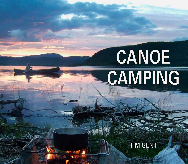# CANOE CAMPING

**TIM GENT**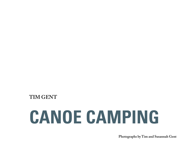#### **TIM GENT**

## **CANOE CAMPING**

**Photographs by Tim and Susannah Gent**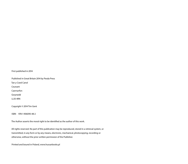#### First published in 2014

Published in Great Britain 2014 by Pesda Press

Tan y Coed Canol

Ceunant

Caernarfon

Gwynedd

LL55 4RN

Copyright © 2014 Tim Gent

ISBN 978-1-906095-48-2

The Author asserts the moral right to be identified as the author of this work.

All rights reserved. No part of this publication may be reproduced, stored in a retrieval system, or transmitted, in any form or by any means, electronic, mechanical, photocopying, recording or otherwise, without the prior written permission of the Publisher.

Printed and bound in Poland, www.hussarbooks.pl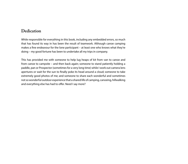#### **Dedication**

While responsible for everything in this book, including any embedded errors, so much that has found its way in has been the result of teamwork. Although canoe camping makes a fine endeavour for the lone participant – at least one who knows what they're doing – my good fortune has been to undertake all my trips in company.

This has provided me with someone to help lug heaps of kit from van to canoe and from canoe to campsite – and then back again; someone to stand patiently holding a paddle, pan or Prospector (sometimes for a very long time) while I work out camera lens apertures or wait for the sun to finally poke its head around a cloud; someone to take extremely good photos of me; and someone to share each wonderful and sometimes not so wonderful outdoor experience that a shared life of camping, canoeing, hillwalking and everything else has had to offer. Need I say more?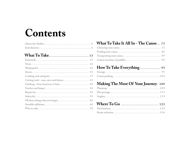### Contents

#### What To Take It All In - The Canoe... 73 Making The Most Of Your Journey. 109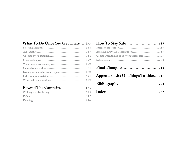#### What To Do Once You Get There ... 133

| Dealing with breakages and repairs  170 |
|-----------------------------------------|
|                                         |
|                                         |

#### Beyond The Campsite ................... 175

#### Avoiding injury afloat (precaution)............................ 189 Coping when things do go wrong (response)................ 199 Appendix: List Of Things To Take....217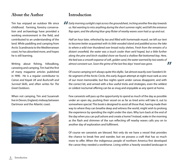#### **About the Author**

Tim has enjoyed an outdoor life since childhood. Farming, forestry conservation and archaeology have provided a working environment in the field, and contributed to an understanding of the land. While paddling and camping from Arctic Scandinavia to the Mediterranean coast, he has absorbed more, and hopes he is still learning.

Writing about fishing, hillwalking, canoeing and camping, Tim had the first of many magazine articles published in 1990. He is a regular contributor to *Canoe and Kayak UK* and *Bushcraft and Survival Skills*, and often writes for *The Great Outdoors*.

When not camping, Tim and Susannah live in Devon, England, midway between Dartmoor and the Atlantic coast.



#### **Introduction**

*Early morning sunlight crept across the groundsheet, inching another fine day towards us. Not wanting to miss anything during the short summer night, we'd left the entrance flap open, and the alluring blue-grey flicker of nearby waves soon had us up and out.*

*Half an hour later, refreshed by tea and filled with homemade muesli, we left our tent to become better acquainted with its little wooded island and paddled across the lake to where a wild river thundered over broad rocky shelves. Fresh from the remains of a distant snowfield, the water was a touch cooler than we'd hoped, but a little further along the pine and birch-studded shore we found a shallow flat-bottomed bay. Here, the bed was a smooth expanse of soft, golden sand, the water warmed by two weeks of almost constant sun. Soon the grime of the last few days' travel was gone.* Ш

Of course camping isn't always quite this idyllic. Sat almost exactly over Sweden's little segment of the Arctic Circle, this early August attempt at night must rank as one of our most memorable, but few nights spent under canvas disappoint, and with the correct kit, and armed with a few useful tricks and strategies, even the wildest or coldest nocturnal offering can be as snug and enjoyable as any spent at home.

Few canoeists will pass up the opportunity to spend as much of the day as possible under an open sky, pushing their vessel on as far as tired arms will take it, out to somewhere special. This book is designed to assist all those that, having made their way to where they can breathe deep and witness the world, might wish to prolong the experience by spending the night under the stars. Why turn back at the end of the day when you can pull ashore and create a home? Instead, wake in the morning as the flash and shimmer of the sun reflecting off nearby waves calls you on to another day of exploration and fulfilment.

Of course we canoeists are blessed. Not only do we have a vessel that provides the chance to break free and wander, but we possess a craft that has so much more to offer. When the indigenous people of northern America first developed the canoe they needed a workhorse. Living within a heavily wooded landscape in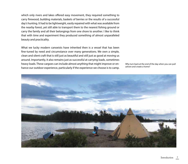which only rivers and lakes offered easy movement, they required something to carry firewood, building materials, baskets of berries or the results of a successful day's hunting. It had to be lightweight, easily repaired with what was available from the nearby forest, yet still able to transport them to the nearest fishing ground or carry the family and all their belongings from one shore to another. I like to think that with time and experiment they produced something of almost unparalleled beauty and practicality.

What we lucky modern canoeists have inherited then is a vessel that has been fine-tuned by need and circumstance over many generations. We own a simple, clean and silent craft that is still just as beautiful and still just as good at moving us around. Importantly, it also remains just as successful at carrying loads, sometimes heavy loads. These cargoes can include almost anything that might improve or enhance our outdoor experience, particularly if the experience we choose is to camp.

Why turn back at the end of the day when you can pull ashore and create a home?

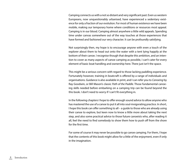Camping connects us with a not so distant and very significant past. Even us western Europeans, now unquestionably urbanised, have experienced a sedentary existence for only a fraction of our evolution. For most of human existence we have been mobile, making our temporary home where conditions or resources most appeal. Camping is in our blood. Camping almost anywhere a little wild appeals. Spending time under canvas somewhere out of the way touches at those experiences that have formed and fashioned our very character. It can be profoundly satisfying.

Not surprisingly then, my hope is to encourage anyone with even a touch of the explorer about them to head out onto the water with a tent lying happily at the bottom of their canoe. I recognise though that despite this ambition, and an intention to cover as many aspects of canoe camping as possible, I can't cater for every element of basic boat handling and ownership here. There just isn't the space.

This might be a serious concern with regard to those lacking paddling experience. Fortunately however, training in boatcraft is offered by a range of individuals and organisations. Guidance is also available in print, and I can refer you to *Canoeing* by Ray Goodwin, or Bill Mason's classic *Path of the Paddle*. Those fundamental canoeing skills needed before embarking on a camping trip can be found beyond the this book. I don't need to worry if I can't fit everything in.

In the following chapters I hope to offer enough sound advice to allow anyone who has mastered the use of a canoe to put it all into soul-invigorating practice. In short, I hope this book can offer something to all – a guide to those who are already using their canoe to explore, but keen now to know a little more about taking the next step, and also some practical advice to those future canoeists who, after reading it all, feel the need to find somebody to show them how to push off from the shore for the first time.

For some of course it may never be possible to go canoe camping. For them, I hope that the contents of this book might allow for a little of the enjoyment, even if only in the imagination.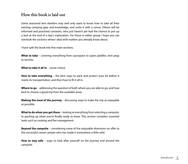#### **How this book is laid out**

Some seasoned tent dwellers may well only want to know how to take all their existing camping gear and knowledge, and unite it with a canoe. Others will be informed and practised canoeists, who just haven't yet had the chance to put up a tent at the end of a day's exploration. For those in either group I hope you can overlook the sections where I deal with matters you already know about.

I have split the book into five main sections:

**What to take** – covering everything from saucepans to spare paddles, tent pegs to torches.

**What to take it all in** – canoe choice.

**How to take everything** – the best ways to pack and protect your kit before it meets its transportation, and then how to fit it all in.

**Where to go** – addressing the question of both where you are able to go, and how best to choose a good trip from the available areas.

**Making the most of the journey** – discussing ways to make the trip as enjoyable as possible.

**What to do when you get there** – looking at everything from selecting a campsite, to packing up when you're finally ready to leave. This section considers essential tasks such as cooking and fire management.

**Beyond the campsite** – considering some of the enjoyable diversions on offer to the successful canoe camper who has made it somewhere a little wild.

**How to stay safe** – ways to look after yourself on the journey and around the campsite.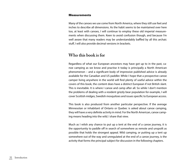#### Measurements

Many of the canoes we use come from North America, where they still use feet and inches to describe all dimensions. As the habit seems to be maintained over here too, at least with canoes, I will continue to employ these old imperial measurements when discussing them. Keen to avoid confusion though, and because I'm well aware that many readers may be understandably baffled by all this archaic stuff, I will also provide decimal versions in brackets.

#### **Who this book is for**

Regardless of what our European ancestors may have got up to in the past, canoe camping as we know and practise it today is principally a North American phenomenon – and a significant body of impressive published advice is already available for the Canadian and US paddler. While I hope that a prospective canoe camper living anywhere in the world will find plenty of useful advice within the covers of this book, the content does have a distinct European if not British slant. This is inevitable. It is where I canoe and camp after all. So while I don't mention the problems of dealing with a resident grizzly bear population for example, I will cover Scottish midges, Swedish mosquitoes and issues specific to European access.

This book is also produced from another particular perspective. If the average Minnesotan or inhabitant of Ontario or Quebec is asked about canoe camping, they will have a very definite activity in mind. For the North American, canoe camping means heading into the wild. I share that view.

Much as I relish any chance to put up a tent at the end of a canoe journey, it is the opportunity to paddle off in search of somewhere as remote and unspoilt as possible that holds the strongest appeal. Wild camping, or putting up a tent up somewhere out of the way and unregulated at the end of a canoe journey, is the activity that forms the principal subject for discussion in the following chapters.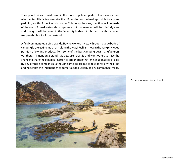The opportunities to wild camp in the more populated parts of Europe are somewhat limited. It is far from easy for the UK paddler, and not really possible for anyone paddling south of the Scottish border. This being the case, mention will be made of the use of formal waterside campsites – but that mention will be brief. My eyes and thoughts will be drawn to the far empty horizon. It is hoped that those drawn to open this book will understand.

A final comment regarding brands. Having worked my way through a large body of camping kit, rejecting much of it along the way, I feel I am now in the very privileged position of owning products from some of the best camping gear manufacturers out there. If I mention a brand, it is because I trust it, and want others to have the chance to share the benefits. I hasten to add though that I'm not sponsored or paid by any of these companies (although some do ask me to test or review their kit), and hope that this independence confers added validity to any comments I make.



Of course we canoeists are blessed.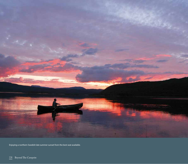

Enjoying a northern Swedish late summer sunset from the best seat available.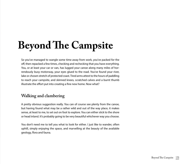## **Beyond The Campsite**

So you've managed to wangle some time away from work, you've packed for the off, then repacked a few times, checking and rechecking that you have everything. You, or at least your car or van, has lugged your canoe along many miles of horrendously busy motorway, your eyes glued to the road. You've found your river, lake or chosen stretch of protected coast. Tired arms attest to the hours of paddling to reach your campsite, and skinned knees, scratched calves and a burnt thumb illustrate the effort put into creating a fine new home. Now what?

#### **Walking and clambering**

A pretty obvious suggestion really. You can of course see plenty from the canoe, but having found what may be a rather wild and out of the way place, it makes sense, at least to me, to set out on foot to explore. You can either stick to the shore or head inland. It's probably going to be very beautiful whichever way you choose.

You don't need me to tell you what to look for either. I just like to wander, often uphill, simply enjoying the space, and marvelling at the beauty of the available geology, flora and fauna.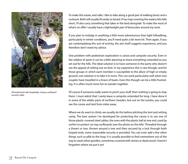

All locked and safe (hopefully). Using a surfboard security cable.

To make this easier, and safer, I like to take along a good pair of walking boots and a rucksack. Both will usually fit easily on board. If my map covering the watery bits falls short, I'll also carry something that takes in the land alongside. To make the most of what's on offer I usually have a lightweight pair of binoculars around my neck.

If you plan to indulge in anything a little more adventurous than light hillwalking, particularly in winter conditions, you'll need quite a bit more kit. Then again, if you are contemplating this sort of activity, the aim itself suggests experience, and you therefore don't need my advice.

One problem with pedestrian exploration is canoe and campsite security. Even in the wildest of spots it can be a little alarming to leave everything untended as you set out for the hills. The ideal solution is to have someone in the party who doesn't see the appeal of setting out on foot. In my experience this is rare though, and for those groups in which each member is susceptible to the allure of high or empty ground, one solution is to take it in turns. This can work particularly well when two couples have travelled in a brace of boats. Even this though can be a little frustrating. It is often much more fun to wander together.

Of course if someone really wants to pinch your stuff, then nothing is going to stop them. I must admit that I rarely leave a campsite untended for long. I have done it in some of the wilder parts of northern Sweden, but out on the tundra, you could see the canoe and tent from miles away.

Where we do want to climb, we usually do this before pitching the tent and setting camp. The best system I've developed for protecting the canoe is to use one of those plastic-covered steel cables, the ones with the plastic ball at one end, used by surfers to protect car-top surfboards (see the photo on the left). Threaded through a thwart or two, thrown around a tree and then secured by a lock through both looped ends, some reasonable security is provided. You can even add a few other things such as pfds to the loop. It is usually possible to find somewhere out of the way to stash other goodies, sometimes covered with stones or dead wood. I haven't forgotten where we put it yet.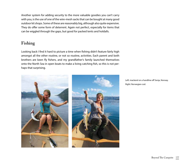Another system for adding security to the more valuable goodies you can't carry with you, is the use of one of the wire-mesh sacks that can be bought at many good outdoor kit shops. Some of these are reasonably big, although also quite expensive. They do offer some form of deterrent. Again not perfect, especially for items that can be wiggled through the gaps, but good for packed tents and holdalls.

#### **Fishing**

Looking back I find it hard to picture a time when fishing didn't feature fairly high amongst all the other routine, or not so routine, activities. Each parent and both brothers are keen fly fishers, and my grandfather's family launched themselves onto the North Sea in open boats to make a living catching fish, so this is not perhaps that surprising.



Left: mackerel on a handline off Senja, Norway. Right: Norwegian cod.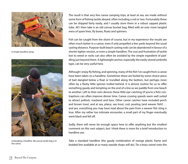

A simple handline setup.



Untangling a handline. My canvas tackle bag is in the canoe.

The result is that very few canoe camping trips, at least at sea, are made without some form of fishing tackle aboard, often including a rod or two. Fortunately these can be shipped fairly easily, and I usually store them in a robust capped plastic tube. All I then take is an old canvas bucket bag, filled with an ever more tangled mess of spare lines, fly boxes, floats and spinners.

Fish can be caught from the shore of course, but in my experience the results are often much better in a canoe, even if only propelled a few yards beyond the usual casting distance. Purpose-built beach casting rods can be abandoned in favour of a shorter lighter version, or even a simple handline. The cost and frustration of tackle lost to weed or rocks can also often be avoided by the simple expedient of paddling just beyond them. A lightweight anchor, especially the easily-stored umbrella type, can be very useful here.

Although I enjoy fly fishing, and spinning, many of the fish I've caught from a canoe have been taken on a handline. Sometimes these are fooled by some choice piece of bait dangled below a float or trundled along the bottom, but perhaps more often by a flashy little spinner trolled behind. It is almost routine for us to offer something gaudy and tempting on the end of a line as we paddle from one beach to another. Left to their own devices these little eye-catching (if you're a fish) contraptions can often improve dinner time. Canoe cruising speeds seem well suited to attract pollock, mackerel and bass. Other canoe catches have included perch and brown trout, and at sea, plaice, sea trout, cod, pouting (and weaver fish!) … and yes, everything you may have read about the pain from a weaver fish sting is true. After my rather too intimate encounter, a small part of my finger eventually went black and fell off.

Sadly, there will never be enough space here to offer anything but the smallest comment on this vast subject, but I think there is room for a brief introduction to handline use.

Take a standard handline (the gaudy combination of orange plastic frame and braided line available at so many seaside shops will do). Tie a brass swivel onto the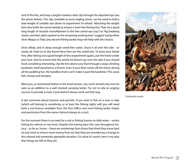end of the line, and loop a largish stainless steel clip through the attached eye (see the photo below). This clip, available at most angling stores, can be used to hold a lead weight of suitable size (down to experiment I'm afraid). Attaching the weight here also holds the swivel steady to ensure a twist-free fishing line. Then tie a good long length of stoutish monofilament to the free swivel eye (say 5 to 7kg breaking strain), and then add a spinner to the remaining working end. I suggest trying either silver Mepps or Toby (any decent fishing tackle shop will help with the choice).

Once afloat, and in deep enough weed-free water, chuck it all over the side – or nearly all. Hold on to the frame! Now here are the useful bits. To leave your hands free, after letting out a good length of line (experiment again), put the frame under your foot. And to ensure that the whole lot doesn't go over the side if you should hook something interesting, clip the line above your foot through a large climbing karabiner, itself attached to a thwart. Even if your foot comes off the frame during all the paddling fun, the handline frame can't make it past the karabiner. This saves fish, money and tempers.

Mind you, as mentioned before in the food section, any catch should only ever be seen as an addition to a well stocked camping larder. Try not to rely on angling success to provide a meal. It just doesn't always work out that way.

A last comment about licences and permits. If you wish to fish on a river or lake (which will belong to somebody, or at least the fishing rights will) you will need both a rod licence (available from the Post Office and most fishing tackle shops) and permission from the owner (almost always at a cost).

For the moment there is no need for a rod or fishing license on tidal water – unless fishing for salmon or sea trout. Despite this having been the case throughout history – as far as I know – there are mutterings from those that think they know best (or just want to extract more money from us) that they are considering a change to this relaxed and extremely agreeable situation. For what it's worth, here is my plea that things are left as they are.



Cooking the results.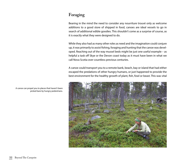#### **Foraging**

Bearing in the mind the need to consider any nourriture trouvé only as welcome additions to a good store of shipped in food, canoes are ideal vessels to go in search of additional edible goodies. This shouldn't come as a surprise of course, as it is exactly what they were designed to do.

While they also had as many other roles as need and the imagination could conjure up, it was primarily to assist fishing, foraging and hunting that the canoe was developed. Reaching out of the way mussel beds might be just one useful example – as helpful a task off Skye or the Devon coast today as it must have been in what we call Nova Scotia over countless previous centuries.

A canoe could transport you to a remote bank, beach, bay or island that had either escaped the predations of other hungry humans, or just happened to provide the best environment for the healthy growth of plant, fish, fowl or beast. This was vital



A canoe can propel you to places that haven't been picked bare by hungry pedestrians.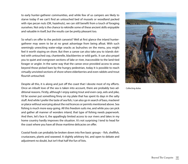to early hunter-gatherer communities, and while few of us campers are likely to starve today if we can't find an untouched bed of mussels or woodland packed with ripe pecan nuts (OK, hazelnuts), we can still benefit from a touch of foraging ourselves. Not only is the chance to rekindle some of these ancient skills enjoyable and valuable in itself, but the results can be pretty pleasant too.

So what's on offer to the peckish canoeist? Well at first glance the inland huntergatherer may seem to be at no great advantage from being afloat. With such seemingly unexciting water-edge snacks as bulrushes on the menu, you might feel it worth staying on shore. But then a canoe can also take you to islands dotted with untouched cep, chanterelle, blackberries or wild garlic. It can also propel you to quiet and overgrown sections of lake or river, inaccessible to the land-tied forager or angler. In the same way that the canoe once provided access to areas beyond those picked bare by the hungry pedestrian, today it is possible to reach virtually unvisited sections of shore where elderberries and even rabbits and trout flourish untouched.

Despite all this, it is along and just off the coast that I devote most of my efforts. Once an inbuilt love of the sea is taken into account, there are probably two additional reasons. Firstly, although I enjoy eating trout and even carp, eels and pike, I'd far sooner put something finny on my plate that has spent its days in the salty stuff. And while I prefer the taste of sea fish, I can also go in search of bass, mackerel or plaice without worrying about the rod licences or permits mentioned above. Sea fishing is much more easy-going. All this freedom suits me, and while you can pick and gather all manner of wonders inland, that type of fishing needs paperwork. And then, let's face it, the appallingly limited access to our rivers and lakes in my home country hardly improves the situation. It's not surprising I tend to head for the coast where you have all those maritime delicacies on offer.

Coastal foods can probably be broken down into five basic groups – fish, shellfish, crustaceans, plants and seaweed. A slightly arbitrary list, and open to debate and adjustment no doubt, but isn't that half the fun of lists.



Collecting dulse.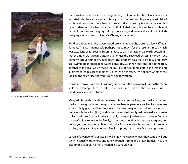

Collecting mussels from north Cornwall.

Fish have been mentioned. For the gathering of all sorts of edible plants, seaweeds and shellfish, the canoe can also take you to the best and hopefully least visited spots, and carry your spoils back to the campsite. I think my favourite meal of this type to date must be bass wrapped in tin foil, their gutty bits replaced with wild fennel from the overhanging cliff top (note – a good knife and a roll of tinfoil already lay amongst my cooking kit. Oh yes, and a lemon).

Mind you there was also a very good brown crab caught close to a low cliff near Torquay. This was memorable perhaps not so much for the resultant meal, which was excellent, as for seeing Susannah race to win her tasty prize. We'd spotted this rather ample crustacean pottering amongst the seaweed across a narrow rock platform about four or five feet down. The problem was that so had a large grey seal swimming through deep water alongside. Susannah took one look at the crab, another at the seal, which made the mistake of hesitating, before she was in and submerged, to resurface moments later with her catch. I'm not sure whether the look on the seal's face showed surprise or admiration.

If bass and brown crab don't do it for you, perhaps the following items on the menu will whet a few appetites – cockles, winkles, shrimps, prawns, the lovely and underrated razor clam and lobster.

Many edible coastal plants and seaweeds take some cooking, but small amounts of the fresh new growth from sea purslane, sea beet or perennial wall rocket can make a particularly good addition to a salad. Gutweed may not sound very appetising, but is worth the effort (just), and dulse, the easy to identify red seaweed is simple to collect and cook (steam lightly) and really is very enjoyable to eat. Laver, or 'what a paLaver' as it is known in the family, tastes pretty good (although not all agree), but unless you are prepared to hang around a fire or stove for hours until it is properly cooked, using alarming amounts of fuel, it is pretty hard to justify as a campsite meal.

Lovers of a variety of crustaceans will enjoy the ease in which their canoe will put them in touch with remote and rarely foraged shrimp and prawn homes. They are also simple to cook. All that's needed is a suitable net.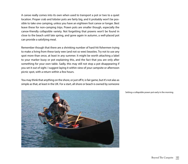A canoe really comes into its own when used to transport a pot or two to a quiet location. Proper crab and lobster pots are fairly big, and it probably won't be possible to take one camping, unless you have an eighteen foot canoe or longer. Best leave these for non-camping trips. Prawn pots are smaller though, especially the canoe-friendly collapsible variety. Not forgetting that prawns won't be found in close to the beach until late spring, and gone again in autumn, a well-placed pot can provide a satisfying meal.

Remember though that there are a shrinking number of hard-hit fishermen trying to make a living from these tasty wee (and not so wee) beasties. Try not to use any spot more than once, at least in any summer. It might be worth attaching a label to your marker buoy or pot explaining this, and the fact that you are only after something for your own table. Sadly, this may still not stop a pot disappearing if you set it out of sight. I suggest laying it within view of your campsite or afternoon picnic spot, with a return within a few hours.

You may think that anything on the shore, or just off it, is fair game, but it's not alas as simple as that, at least in the UK. For a start, all shore or beach is owned by someone



Setting a collapsible prawn pot early in the morning.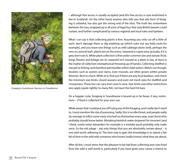

Foraging in Scandinavia. Hjortron, or Cloudberries.

– although free access is usually accepted (and this free access is now enshrined in law in Scotland). On the other hand, anyone who tells you that any form of foraging is unlawful, has also got the wrong end of the stick. The truth lies somewhere between the two, wrapped up in all sorts of legal fuss that only British lawyers could sustain, and further complicated by various regional and local rules and byelaws.

What I can say is that collecting plants is fine. Assuming you only cut off a little of each, don't damage them or dig anything up (which rules out sea holly roots for example), and you leave rare things such as wild cabbage alone (well, perhaps the very occasional leaf), plants are on the menu. Seaweed is a grey area (actually, if it is grey don't eat it). While plant collection is fine under common law and statute (fruit, fungi, flowers and foliage are in) seaweed isn't classed as a plant in law, at least in the matter of collection (metaphorical throwing up of hands). Collecting shellfish is classed as fishing, and therefore permissible within tidal waters. Watch out though, bivalves such as oysters and clams, even mussels, are often grown within private fisheries. Best to check. While at it, find out if there are any local byelaws, and check the minimum size limits, closed seasons and even net mesh sizes for shellfish and crustaceans. These too can vary from area to area. Size limits and other restrictions also apply (quite rightly) to many fish, not least the hard hit bass.

On a happier note, foraging in Scandinavia is bound up in far fewer, if any, restrictions – if food is collected for your own use.

While aware that I could put you off trying any of this foraging, and I really don't want to, I must mention the risk of poisoning. Sadly, this is no idle threat, and people really do manage to inflict some nasty mischief on themselves every year, even those who probably should know better. Mistaking hemlock water dropwort for innocent (and I think, overly tasty) alexanders for example is a mistake you'd probably only make once. So the old adage – eat only things that you are absolutely certain about – is one well worth adhering to. The best way to gain this knowledge is to spend a fair bit of time in the wild with someone who knows (really knows) what they are about.

After all this, I must stress that the pleasure to be had from collecting your own food from the wild is well worth it, particularly if you have given your canoe a chance to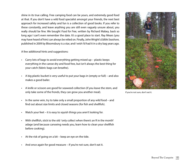shine in its true calling. Free camping food can be yours, and extremely good food at that. If you don't have a wild food specialist amongst your friends, the next best approach for increased safety and fun is a collection of good books. If you refer to these constantly, and leave anything you are still even vaguely unsure about, you really should be fine. We bought *Food for Free*, written by Richard Mabey, back so long ago I can't even remember the date. It's a good place to start. Ray Mears (you may have heard of him) can always be relied on. Finally, John Wright's *Edible Seashore*, published in 2009 by Bloomsbury is a star, and I wish I'd had it in a dry bag years ago.

A few additional hints and suggestions:

- Carry lots of bags to avoid everything getting mixed up plastic keeps everything in the canoe dry and food free, but isn't always the best thing for your catch (fabric bags can breathe).
- A big plastic bucket is very useful to put your bags in (empty or full) and also makes a good bailer.
- • A knife or scissors are good for seaweed collection (if you leave the stem, and only take some of the fronds, they can grow you another meal).
- $\cdot$  In the same vein, try to take only a small proportion of any wild food and find out about size limits and closed seasons (for fish and shellfish).
- Watch your feet it is easy to squish things you aren't looking for.
- • With shellfish, stick to the old 'only collect when there's an R in the month' adage (and because canoeing needs you, learn how to clean your shellfish before cooking).
- $\cdot$  At the risk of going on a bit keep an eye on the tide.
- And once again for good measure  $-$  if you're not sure, don't eat it.



If you're not sure, don't eat it.